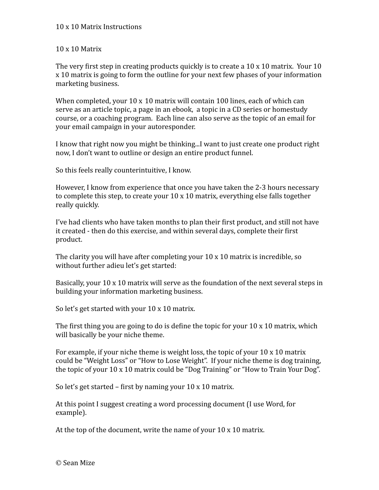## 10
x
10
Matrix

The very first step in creating products quickly is to create a 10 x 10 matrix. Your 10 x
10
matrix
is
going
to
form
the
outline
for
your
next
few
phases
of
your
information marketing
business.

When completed, your  $10 \times 10$  matrix will contain 100 lines, each of which can serve as an article topic, a page in an ebook, a topic in a CD series or homestudy course,
or
a
coaching
program.

Each
line
can
also
serve
as
the
topic
of
an
email
for your
email
campaign
in
your
autoresponder.

I know that right now you might be thinking...I want to just create one product right now, I don't want to outline or design an entire product funnel.

So
this
feels
really
counterintuitive,
I
know.

However, I know from experience that once you have taken the 2-3 hours necessary to complete this step, to create your  $10 \times 10$  matrix, everything else falls together really
quickly.

I've had clients who have taken months to plan their first product, and still not have it created - then do this exercise, and within several days, complete their first product.

The clarity you will have after completing your  $10 \times 10$  matrix is incredible, so without
further
adieu
let's
get
started:

Basically, your 10 x 10 matrix will serve as the foundation of the next several steps in building
your
information
marketing
business.

So let's get started with your 10 x 10 matrix.

The first thing you are going to do is define the topic for your  $10 \times 10$  matrix, which will
basically
be
your
niche
theme.

For example, if your niche theme is weight loss, the topic of your 10 x 10 matrix could
be
"Weight
Loss"
or
"How
to
Lose
Weight".

If
your
niche
theme
is
dog
training, the topic of your 10 x 10 matrix could be "Dog Training" or "How to Train Your Dog".

So let's get started – first by naming your 10 x 10 matrix.

At
this
point
I
suggest
creating
a
word
processing
document
(I
use
Word,
for example).

At the top of the document, write the name of your 10 x 10 matrix.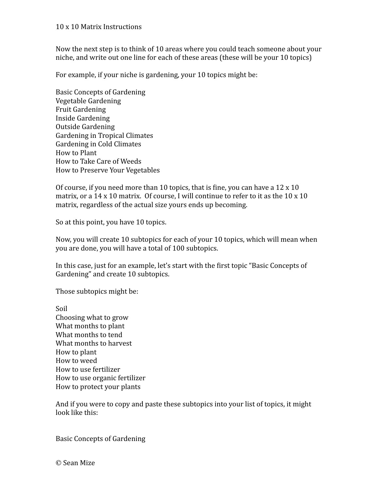Now the next step is to think of 10 areas where you could teach someone about your niche,
and
write
out
one
line
for
each
of
these
areas
(these
will
be
your
10
topics)

For example, if your niche is gardening, your 10 topics might be:

Basic
Concepts
of
Gardening Vegetable
Gardening Fruit
Gardening Inside
Gardening Outside
Gardening Gardening
in
Tropical
Climates Gardening
in
Cold
Climates How
to
Plant How
to
Take
Care
of
Weeds How
to
Preserve
Your
Vegetables

Of course, if you need more than 10 topics, that is fine, you can have a 12 x 10 matrix, or a 14 x 10 matrix. Of course, I will continue to refer to it as the 10 x 10 matrix, regardless of the actual size yours ends up becoming.

So at this point, you have 10 topics.

Now,
you
will
create
10
subtopics
for
each
of
your
10
topics,
which
will
mean
when you
are
done,
you
will
have
a
total
of
100
subtopics.

In this case, just for an example, let's start with the first topic "Basic Concepts of Gardening"
and
create
10
subtopics.

Those
subtopics
might
be:

Soil Choosing
what
to
grow What
months
to
plant What months to tend What months to harvest How
to
plant How
to
weed How
to
use
fertilizer How
to
use
organic
fertilizer How
to
protect
your
plants

And if you were to copy and paste these subtopics into your list of topics, it might look
like
this:

Basic
Concepts
of
Gardening